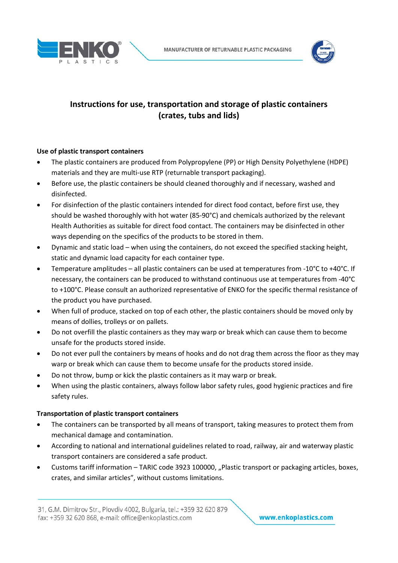



# **Instructions for use, transportation and storage of plastic containers (crates, tubs and lids)**

## **Use of plastic transport containers**

- The plastic containers are produced from Polypropylene (PP) or High Density Polyethylene (HDPE) materials and they are multi‐use RTP (returnable transport packaging).
- Before use, the plastic containers be should cleaned thoroughly and if necessary, washed and disinfected.
- For disinfection of the plastic containers intended for direct food contact, before first use, they should be washed thoroughly with hot water (85-90°C) and chemicals authorized by the relevant Health Authorities as suitable for direct food contact. The containers may be disinfected in other ways depending on the specifics of the products to be stored in them.
- Dynamic and static load when using the containers, do not exceed the specified stacking height, static and dynamic load capacity for each container type.
- Temperature amplitudes all plastic containers can be used at temperatures from ‐10°C to +40°C. If necessary, the containers can be produced to withstand continuous use at temperatures from ‐40°C to +100°C. Please consult an authorized representative of ENKO for the specific thermal resistance of the product you have purchased.
- When full of produce, stacked on top of each other, the plastic containers should be moved only by means of dollies, trolleys or on pallets.
- Do not overfill the plastic containers as they may warp or break which can cause them to become unsafe for the products stored inside.
- Do not ever pull the containers by means of hooks and do not drag them across the floor as they may warp or break which can cause them to become unsafe for the products stored inside.
- Do not throw, bump or kick the plastic containers as it may warp or break.
- When using the plastic containers, always follow labor safety rules, good hygienic practices and fire safety rules.

## **Transportation of plastic transport containers**

- The containers can be transported by all means of transport, taking measures to protect them from mechanical damage and contamination.
- According to national and international guidelines related to road, railway, air and waterway plastic transport containers are considered a safe product.
- Customs tariff information TARIC code 3923 100000, "Plastic transport or packaging articles, boxes, crates, and similar articles", without customs limitations.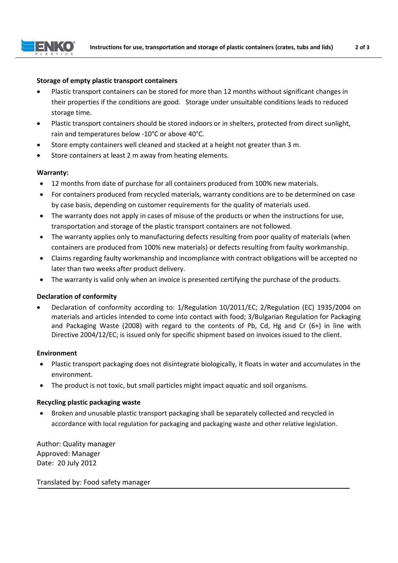

## **Storage of empty plastic transport containers**

- Plastic transport containers can be stored for more than 12 months without significant changes in their properties if the conditions are good. Storage under unsuitable conditions leads to reduced storage time.
- Plastic transport containers should be stored indoors or in shelters, protected from direct sunlight, rain and temperatures below ‐10°C or above 40°C.
- Store empty containers well cleaned and stacked at a height not greater than 3 m.
- Store containers at least 2 m away from heating elements.

### **Warranty:**

- 12 months from date of purchase for all containers produced from 100% new materials.
- For containers produced from recycled materials, warranty conditions are to be determined on case by case basis, depending on customer requirements for the quality of materials used.
- The warranty does not apply in cases of misuse of the products or when the instructions for use, transportation and storage of the plastic transport containers are not followed.
- The warranty applies only to manufacturing defects resulting from poor quality of materials (when containers are produced from 100% new materials) or defects resulting from faulty workmanship.
- Claims regarding faulty workmanship and incompliance with contract obligations will be accepted no later than two weeks after product delivery.
- The warranty is valid only when an invoice is presented certifying the purchase of the products.

## **Declaration of conformity**

 Declaration of conformity according to: 1/Regulation 10/2011/EC; 2/Regulation (EC) 1935/2004 on materials and articles intended to come into contact with food; 3/Bulgarian Regulation for Packaging and Packaging Waste (2008) with regard to the contents of Pb, Cd, Hg and Cr  $(6+)$  in line with Directive 2004/12/EC; is issued only for specific shipment based on invoices issued to the client.

#### **Environment**

- Plastic transport packaging does not disintegrate biologically, it floats in water and accumulates in the environment.
- The product is not toxic, but small particles might impact aquatic and soil organisms.

## **Recycling plastic packaging waste**

 Broken and unusable plastic transport packaging shall be separately collected and recycled in accordance with local regulation for packaging and packaging waste and other relative legislation.

Author: Quality manager Approved: Manager Date: 20 July 2012

Translated by: Food safety manager